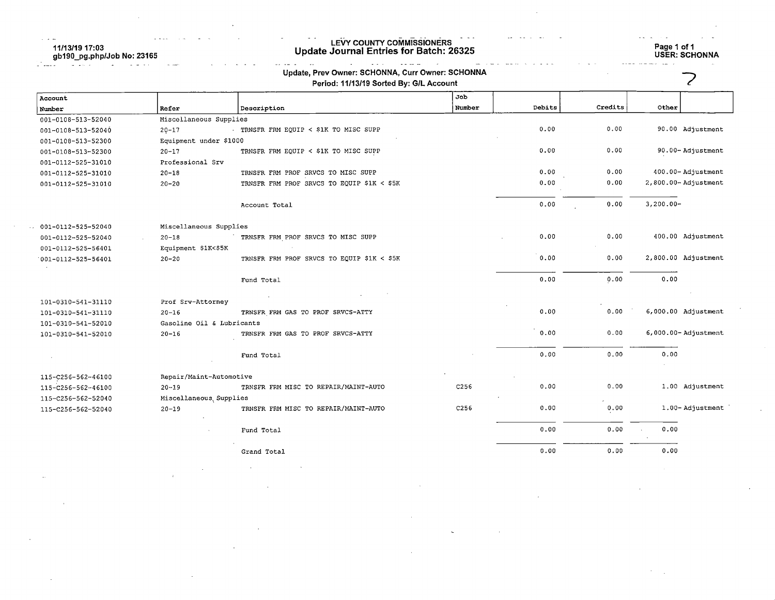11/13/19 17:03 gb190\_pg.php/Job No: 23165

# LEVY COUNTY COMMISSIONERS Update Journal Entries for Batch: 26325 Page 1 of 1

Page 1 of 1<br>USER: SCHONNA

|                    |                           | Update, Prev Owner: SCHONNA, Curr Owner: SCHONNA<br>Period: 11/13/19 Sorted By: G/L Account |        |        |         |                         |
|--------------------|---------------------------|---------------------------------------------------------------------------------------------|--------|--------|---------|-------------------------|
| Account            |                           |                                                                                             | Job    |        |         |                         |
| Number             | Refer                     | Description                                                                                 | Number | Debits | Credits | Other                   |
| 001-0108-513-52040 | Miscellaneous Supplies    |                                                                                             |        |        |         |                         |
| 001-0108-513-52040 | $20 - 17$                 | TRNSFR FRM EQUIP < \$1K TO MISC SUPP                                                        |        | 0.00   | 0.00    | 90.00 Adjustment        |
| 001-0108-513-52300 | Equipment under \$1000    |                                                                                             |        |        |         |                         |
| 001-0108-513-52300 | $20 - 17$                 | TRNSFR FRM EQUIP < \$1K TO MISC SUPP                                                        |        | 0.00   | 0.00    | 90.00-Adjustment        |
| 001-0112-525-31010 | Professional Srv          |                                                                                             |        |        |         |                         |
| 001-0112-525-31010 | $20 - 18$                 | TRNSFR FRM PROF SRVCS TO MISC SUPP                                                          |        | 0.00   | 0.00    | 400.00-Adjustment       |
| 001-0112-525-31010 | $20 - 20$                 | TRNSFR FRM PROF SRVCS TO EQUIP \$1K < \$5K                                                  |        | 0.00   | 0.00    | 2,800.00-Adjustment     |
|                    |                           | Account Total                                                                               |        | 0.00   | 0.00    | $3,200.00 -$            |
| 001-0112-525-52040 | Miscellaneous Supplies    |                                                                                             |        |        |         |                         |
| 001-0112-525-52040 | $20 - 18$                 | TRNSFR FRM PROF SRVCS TO MISC SUPP                                                          |        | 0.00   | 0.00    | 400.00 Adjustment       |
| 001-0112-525-56401 | Equipment \$1K<\$5K       |                                                                                             |        |        |         |                         |
| 001-0112-525-56401 | $20 - 20$                 | TRNSFR FRM PROF SRVCS TO EQUIP \$1K < \$5K                                                  |        | 0.00   | 0.00    | 2,800.00 Adjustment     |
|                    |                           | Fund Total                                                                                  |        | 0.00   | 0.00    | 0.00                    |
| 101-0310-541-31110 | Prof Srv-Attorney         |                                                                                             |        |        |         |                         |
| 101-0310-541-31110 | $20 - 16$                 | TRNSFR FRM GAS TO PROF SRVCS-ATTY                                                           |        | 0.00   | 0.00    | 6,000.00 Adjustment     |
| 101-0310-541-52010 | Gasoline Oil & Lubricants |                                                                                             |        |        |         |                         |
| 101-0310-541-52010 | $20 - 16$                 | TRNSFR FRM GAS TO PROF SRVCS-ATTY                                                           |        | 0.00   | 0.00    | $6,000.00 -$ Adjustment |
|                    |                           | Fund Total                                                                                  |        | 0.00   | 0.00    | 0.00                    |
| 115-C256-562-46100 | Repair/Maint-Automotive   |                                                                                             |        |        |         |                         |
| 115-C256-562-46100 | $20 - 19$                 | TRNSFR FRM MISC TO REPAIR/MAINT-AUTO                                                        | C256   | 0.00   | 0.00    | 1.00 Adjustment         |
| 115-C256-562-52040 | Miscellaneous, Supplies   |                                                                                             |        |        |         |                         |
| 115-C256-562-52040 | $20 - 19$                 | TRNSFR FRM MISC TO REPAIR/MAINT-AUTO                                                        | C256   | 0.00   | 0.00    | 1.00-Adjustment         |
|                    |                           | Fund Total                                                                                  |        | 0.00   | 0.00    | 0.00                    |
|                    |                           | Grand Total                                                                                 |        | 0.00   | 0.00    | 0.00                    |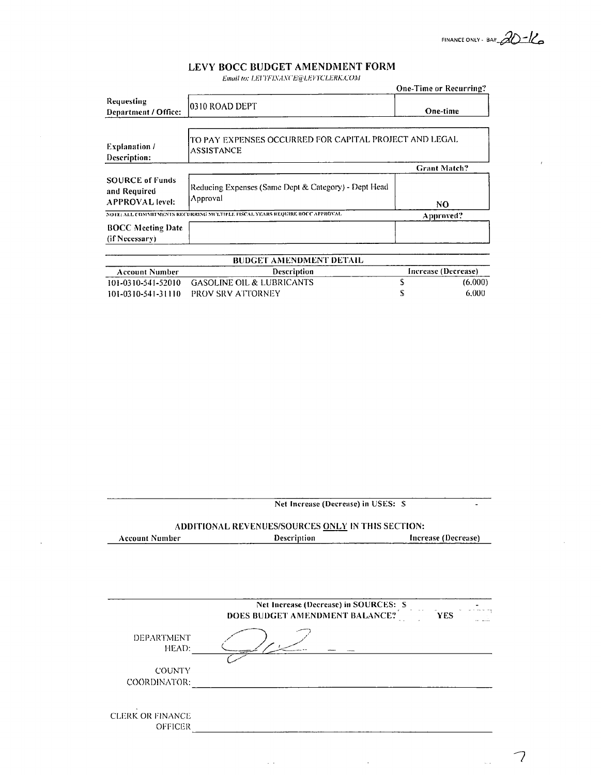FINANCE ONLY - BAH  $20 - k$ 

 $\bar{t}$ 

 $\overline{\mathcal{L}}$ 

 $\mathbb{Q}_2$ 

## LEVY BOCC BUDGET AMENDMENT FORM

Email to: LEVYFINANCE@LEVYCLERK.COM

|                                                                  |                                                                             | <b>One-Time or Recurring?</b> |
|------------------------------------------------------------------|-----------------------------------------------------------------------------|-------------------------------|
| Requesting<br>Department / Office:                               | 0310 ROAD DEPT                                                              | One-time                      |
| <b>Explanation</b> /<br>Description:                             | TO PAY EXPENSES OCCURRED FOR CAPITAL PROJECT AND LEGAL<br><b>ASSISTANCE</b> |                               |
|                                                                  |                                                                             | <b>Grant Match?</b>           |
| <b>SOURCE of Funds</b><br>and Required<br><b>APPROVAL</b> level: | Reducing Expenses (Same Dept & Category) - Dept Head<br>Approval            | NO.                           |
|                                                                  | NOTE: ALL COMMITMENTS RECURRING MULTIPLE FISCAL YEARS REQUIRE BOCC APPROVAL | Approved?                     |
| <b>BOCC Meeting Date</b><br>(if Necessary)                       |                                                                             |                               |

| <b>BUDGET AMENDMENT DETAIL</b> |                                              |  |                     |
|--------------------------------|----------------------------------------------|--|---------------------|
| Account Number                 | <b>Description</b>                           |  | Increase (Decrease) |
|                                | 101-0310-541-52010 GASOLINE OIL & LUBRICANTS |  | (6.000)             |
|                                | 101-0310-541-31110 PROV SRV ATTORNEY         |  | 6.000               |

|                            | Net Increase (Decrease) in USES: S<br>ADDITIONAL REVENUES/SOURCES ONLY IN THIS SECTION: |                     |  |
|----------------------------|-----------------------------------------------------------------------------------------|---------------------|--|
|                            |                                                                                         |                     |  |
| <b>Account Number</b>      | Description                                                                             | Increase (Decrease) |  |
|                            |                                                                                         |                     |  |
|                            |                                                                                         |                     |  |
|                            |                                                                                         |                     |  |
|                            | Net Increase (Decrease) in SOURCES: S<br>DOES BUDGET AMENDMENT BALANCE?                 |                     |  |
|                            |                                                                                         | <b>YES</b>          |  |
| <b>DEPARTMENT</b><br>HEAD: |                                                                                         |                     |  |
|                            |                                                                                         |                     |  |
| <b>COUNTY</b>              |                                                                                         |                     |  |
| COORDINATOR:               |                                                                                         |                     |  |
|                            |                                                                                         |                     |  |
| <b>CLERK OR FINANCE</b>    |                                                                                         |                     |  |
| <b>OFFICER</b>             |                                                                                         |                     |  |
|                            |                                                                                         |                     |  |

 $\sim 10$ 

 $\bar{\mathcal{A}}$ 

 $\bar{\phantom{a}}$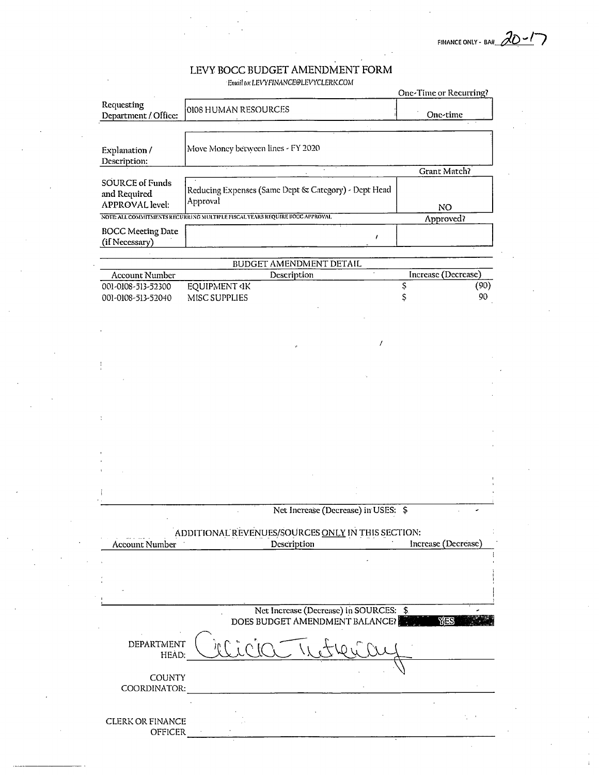$20 - 17$ FINANCE ONLY - BA#

# LEVY BOCC BUDGET AMENDMENT FORM

Email to: LEVYFINANCE@LEVYCLERK.COM

|                                                                  |                                                                                          | One-Time or Recurring? |
|------------------------------------------------------------------|------------------------------------------------------------------------------------------|------------------------|
| Requesting<br>Department / Office:                               | 0108 HUMAN RESOURCES                                                                     | One-time               |
|                                                                  |                                                                                          |                        |
| Explanation /<br>Description:                                    | Move Money between lines - FY 2020                                                       |                        |
|                                                                  |                                                                                          | Grant Match?           |
| <b>SOURCE of Funds</b><br>and Required<br><b>APPROVAL</b> level: | Reducing Expenses (Same Dept & Category) - Dept Head<br>Approval                         | NO.                    |
|                                                                  | NOTE ALL COMMITMENTS RECURRING MULTIPLE FISCAL YEARS REQUIRE BOCC APPROVAL               | Approved?              |
| <b>BOCC Meeting Date</b><br>(if Necessary)                       | $\prime$                                                                                 |                        |
|                                                                  |                                                                                          |                        |
|                                                                  | BUDGET AMENDMENT DETAIL                                                                  |                        |
| <b>Account Number</b>                                            | $\bar{\star}$<br>Description                                                             | Increase (Decrease)    |
| 001-0108-513-52300<br>001-0108-513-52040                         | <b>EQUIPMENT 4K</b><br>MISC SUPPLIES                                                     | (90)<br>Ş<br>90<br>Ş   |
|                                                                  |                                                                                          |                        |
|                                                                  |                                                                                          |                        |
|                                                                  |                                                                                          |                        |
|                                                                  |                                                                                          |                        |
|                                                                  |                                                                                          |                        |
|                                                                  |                                                                                          |                        |
|                                                                  |                                                                                          |                        |
|                                                                  |                                                                                          |                        |
|                                                                  | Net Increase (Decrease) in USES: \$<br>ADDITIONAL REVENUES/SOURCES ONLY IN THIS SECTION: |                        |
| <b>Account Number</b>                                            | Description                                                                              | Increase (Decrease)    |
|                                                                  |                                                                                          |                        |
|                                                                  |                                                                                          |                        |
|                                                                  | Net Increase (Decrease) in SOURCES: \$<br>DOES BUDGET AMENDMENT BALANCE?                 | <b>YAS</b>             |
| DEPARTMENT<br>HEAD:                                              |                                                                                          |                        |
| <b>COUNTY</b><br>COORDINATOR:                                    |                                                                                          |                        |
| CLERK OR FINANCE                                                 |                                                                                          |                        |
| <b>OFFICER</b>                                                   |                                                                                          |                        |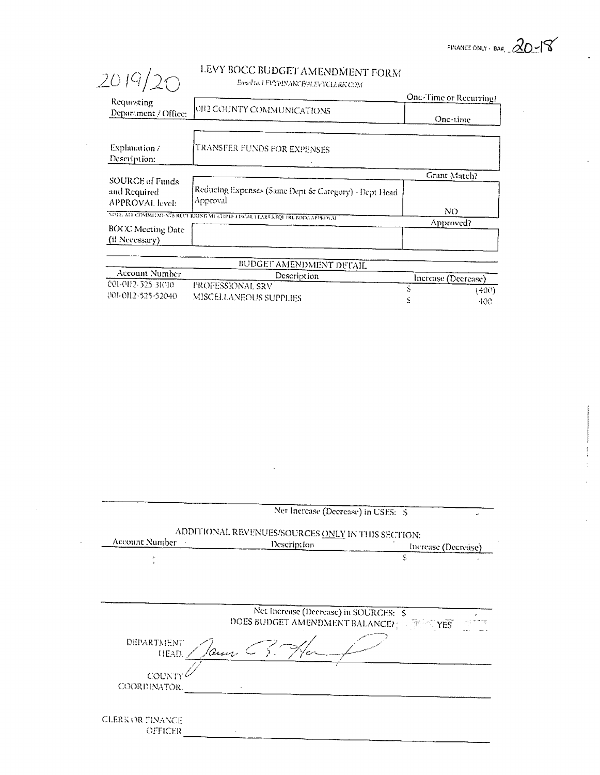FINANCE ONLY - BAR,  $20$  -18

 $\alpha$ 

### LEVY BOCC BUDGET AMENDMENT FORM Ewal to, LFVYPINANCFON FVATCLERKYON (

| 2019/20                                            | LEVY BOCC BUDGET AMENDMENT FORM<br>Etrail to, LFVYPINANCE@LEVYCLERK COM  |                        |
|----------------------------------------------------|--------------------------------------------------------------------------|------------------------|
| Requesting                                         |                                                                          | One-Time or Recurring? |
| Department / Office:                               | 10112 COUNTY COMMUNICATIONS                                              | One-time               |
|                                                    |                                                                          |                        |
| Explanation /                                      | TRANSFER FUNDS FOR EXPENSES                                              |                        |
| Description:                                       |                                                                          |                        |
|                                                    |                                                                          | Grant Match?           |
| SOURCE of Funds<br>and Required<br>APPROVAL level: | Reducing Expenses (Same Dept & Category) - Dept Head<br>Approval         |                        |
|                                                    | NOTE ALL COMMEMPNES RECURRENT MULTIPLE FISCAL YEARS REQUIRE EOCCAPPROVAL | NO.                    |
| <b>BOCC Meeting Date</b>                           |                                                                          | Approved?              |
| (if Necessary)                                     |                                                                          |                        |

 $\bar{\Delta}$ 

|                                          | PODOLI AMENDMENT DETAIL                           |                     |
|------------------------------------------|---------------------------------------------------|---------------------|
| Account Number                           | Description                                       | Increase (Decrease) |
| 001-0112-525-31010<br>001-0112-525-52040 | - PROFESSIONAL SRV -<br>-MISCELLANEOUS SUPPLIFS - | -400).<br>-100-     |

|                         | Net Increase (Decrease) in USES: \$                              |                  |                     |
|-------------------------|------------------------------------------------------------------|------------------|---------------------|
| Account Number          | ADDITIONAL REVENUES/SOURCES ONLY IN THIS SECTION:<br>Description |                  | Increase (Decrease) |
|                         |                                                                  | S                |                     |
|                         |                                                                  |                  |                     |
|                         |                                                                  |                  |                     |
|                         |                                                                  |                  |                     |
|                         | Net Increase (Decrease) in SOURCES: \$                           |                  |                     |
|                         | DOES BUDGET AMENDMENT BALANCE?                                   | $\mathbb{R}$ xes |                     |
| DEPARTMENT<br>HEAD.     | 10mm C.S.                                                        |                  |                     |
| COUNTY                  |                                                                  |                  |                     |
| COORDINATOR.            |                                                                  |                  |                     |
|                         |                                                                  |                  |                     |
| <b>CLERK OR FINANCE</b> |                                                                  |                  |                     |
| OFFICER                 |                                                                  |                  |                     |
|                         |                                                                  |                  |                     |

 $\sim$  .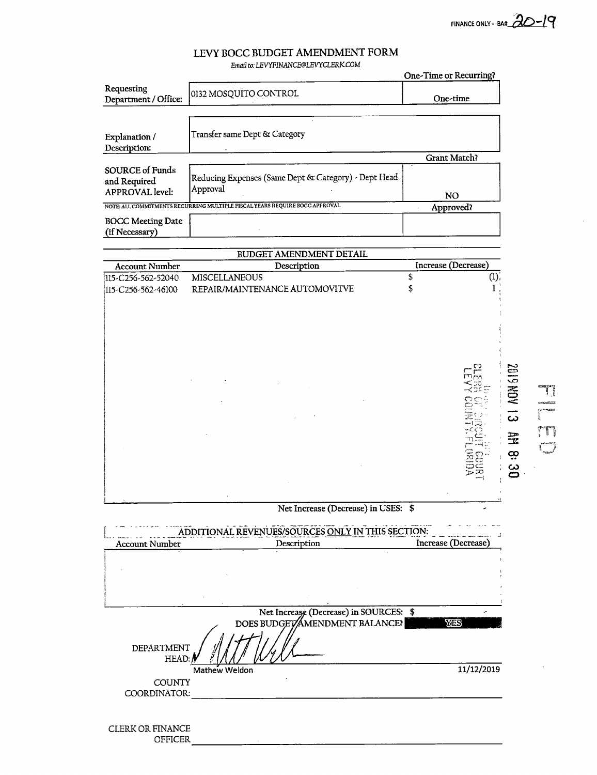FINANCE ONLY - BA#  $20-19$ 

r muckat<br>.

**THE** ر<br>أسيدا

Ţ

#### LEVY BOCC BUDGET AMENDMENT FORM Email to: LEVYFINANCE@LEVYCLERK.COM

|                                                                  |                                                                             | One-Time or Recurring? |
|------------------------------------------------------------------|-----------------------------------------------------------------------------|------------------------|
| Requesting<br>Department / Office:                               | 0132 MOSQUITO CONTROL                                                       | One-time               |
|                                                                  |                                                                             |                        |
| Explanation /<br>Description:                                    | Transfer same Dept & Category                                               |                        |
|                                                                  |                                                                             | <b>Grant Match?</b>    |
| <b>SOURCE of Funds</b><br>and Required<br><b>APPROVAL</b> level: | Reducing Expenses (Same Dept & Category) - Dept Head<br>Approval            | NO.                    |
|                                                                  | NOTE: ALL COMMITMENTS RECURRING MULTIPLE FISCAL YEARS REQUIRE BOCC APPROVAL | Approved?              |
| <b>BOCC Meeting Date</b><br>(if Necessary)                       |                                                                             |                        |
|                                                                  |                                                                             |                        |
|                                                                  | <b>BUDGET AMENDMENT DETAIL</b>                                              |                        |
| <b>Account Number</b>                                            | Description                                                                 | Increase (Decrease)    |
| 115-C256-562-52040                                               | <b>MISCELLANEOUS</b>                                                        | (1)                    |
| 115-C256-562-46100                                               | REPAIR/MAINTENANCE AUTOMOVITVE                                              |                        |
|                                                                  |                                                                             |                        |
|                                                                  |                                                                             |                        |
|                                                                  |                                                                             |                        |
|                                                                  |                                                                             |                        |

**E1 ACN 6102** AGIRO HATANICO **AM 8:**  $\ddot{8}$ ÷,  $\overline{\mathbf{u}}$ 

## Net Increase (Decrease) in USES: \$

| ADDITIONAL REVENUES/SOURCES ONLY IN THIS SECTION: |                                        |                     |  |
|---------------------------------------------------|----------------------------------------|---------------------|--|
| <b>Account Number</b>                             | Description                            | Increase (Decrease) |  |
|                                                   |                                        |                     |  |
|                                                   |                                        |                     |  |
|                                                   |                                        |                     |  |
|                                                   |                                        |                     |  |
|                                                   |                                        |                     |  |
|                                                   | Net Increase (Decrease) in SOURCES: \$ |                     |  |
|                                                   | DOES BUDGET AMENDMENT BALANCE?         | YA IS               |  |
|                                                   |                                        |                     |  |
| DEPARTMENT<br>HEAD:                               |                                        |                     |  |
|                                                   | Mathew Weldon                          | 11/12/2019          |  |
| <b>COUNTY</b>                                     |                                        |                     |  |
| COORDINATOR:                                      |                                        |                     |  |

| <b>CLERK OR FINANCE</b> |                |
|-------------------------|----------------|
|                         | <b>OFFICER</b> |